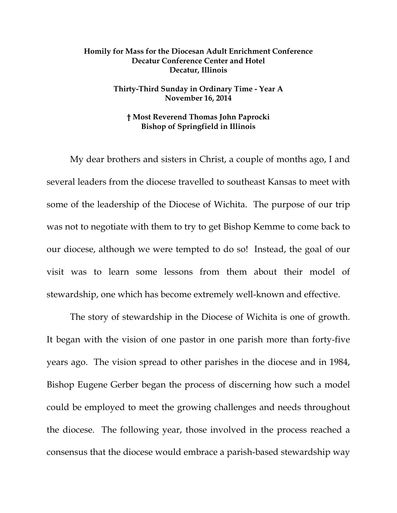## **Homily for Mass for the Diocesan Adult Enrichment Conference Decatur Conference Center and Hotel Decatur, Illinois**

## **Thirty-Third Sunday in Ordinary Time - Year A November 16, 2014**

## **† Most Reverend Thomas John Paprocki Bishop of Springfield in Illinois**

My dear brothers and sisters in Christ, a couple of months ago, I and several leaders from the diocese travelled to southeast Kansas to meet with some of the leadership of the Diocese of Wichita. The purpose of our trip was not to negotiate with them to try to get Bishop Kemme to come back to our diocese, although we were tempted to do so! Instead, the goal of our visit was to learn some lessons from them about their model of stewardship, one which has become extremely well-known and effective.

The story of stewardship in the Diocese of Wichita is one of growth. It began with the vision of one pastor in one parish more than forty-five years ago. The vision spread to other parishes in the diocese and in 1984, Bishop Eugene Gerber began the process of discerning how such a model could be employed to meet the growing challenges and needs throughout the diocese. The following year, those involved in the process reached a consensus that the diocese would embrace a parish-based stewardship way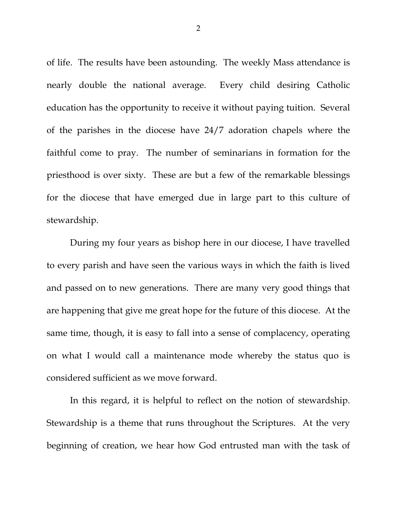of life. The results have been astounding. The weekly Mass attendance is nearly double the national average. Every child desiring Catholic education has the opportunity to receive it without paying tuition. Several of the parishes in the diocese have 24/7 adoration chapels where the faithful come to pray. The number of seminarians in formation for the priesthood is over sixty. These are but a few of the remarkable blessings for the diocese that have emerged due in large part to this culture of stewardship.

During my four years as bishop here in our diocese, I have travelled to every parish and have seen the various ways in which the faith is lived and passed on to new generations. There are many very good things that are happening that give me great hope for the future of this diocese. At the same time, though, it is easy to fall into a sense of complacency, operating on what I would call a maintenance mode whereby the status quo is considered sufficient as we move forward.

In this regard, it is helpful to reflect on the notion of stewardship. Stewardship is a theme that runs throughout the Scriptures. At the very beginning of creation, we hear how God entrusted man with the task of

2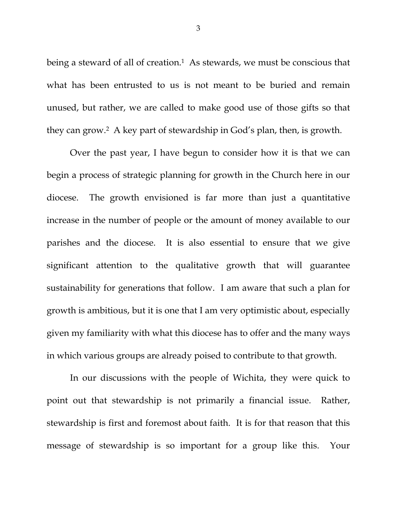being a steward of all of creation.<sup>1</sup> As stewards, we must be conscious that what has been entrusted to us is not meant to be buried and remain unused, but rather, we are called to make good use of those gifts so that they can grow.2 A key part of stewardship in God's plan, then, is growth.

Over the past year, I have begun to consider how it is that we can begin a process of strategic planning for growth in the Church here in our diocese. The growth envisioned is far more than just a quantitative increase in the number of people or the amount of money available to our parishes and the diocese. It is also essential to ensure that we give significant attention to the qualitative growth that will guarantee sustainability for generations that follow. I am aware that such a plan for growth is ambitious, but it is one that I am very optimistic about, especially given my familiarity with what this diocese has to offer and the many ways in which various groups are already poised to contribute to that growth.

In our discussions with the people of Wichita, they were quick to point out that stewardship is not primarily a financial issue. Rather, stewardship is first and foremost about faith. It is for that reason that this message of stewardship is so important for a group like this. Your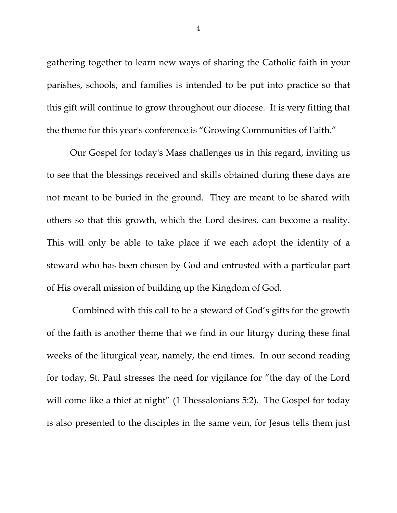gathering together to learn new ways of sharing the Catholic faith in your parishes, schools, and families is intended to be put into practice so that this gift will continue to grow throughout our diocese. It is very fitting that the theme for this year's conference is "Growing Communities of Faith."

Our Gospel for today's Mass challenges us in this regard, inviting us to see that the blessings received and skills obtained during these days are not meant to be buried in the ground. They are meant to be shared with others so that this growth, which the Lord desires, can become a reality. This will only be able to take place if we each adopt the identity of a steward who has been chosen by God and entrusted with a particular part of His overall mission of building up the Kingdom of God.

 Combined with this call to be a steward of God's gifts for the growth of the faith is another theme that we find in our liturgy during these final weeks of the liturgical year, namely, the end times. In our second reading for today, St. Paul stresses the need for vigilance for "the day of the Lord will come like a thief at night" (1 Thessalonians 5:2). The Gospel for today is also presented to the disciples in the same vein, for Jesus tells them just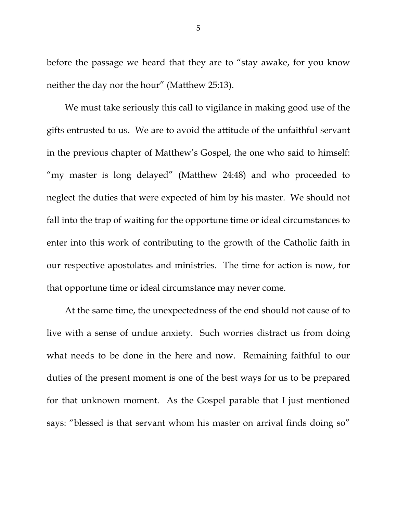before the passage we heard that they are to "stay awake, for you know neither the day nor the hour" (Matthew 25:13).

We must take seriously this call to vigilance in making good use of the gifts entrusted to us. We are to avoid the attitude of the unfaithful servant in the previous chapter of Matthew's Gospel, the one who said to himself: "my master is long delayed" (Matthew 24:48) and who proceeded to neglect the duties that were expected of him by his master. We should not fall into the trap of waiting for the opportune time or ideal circumstances to enter into this work of contributing to the growth of the Catholic faith in our respective apostolates and ministries. The time for action is now, for that opportune time or ideal circumstance may never come.

At the same time, the unexpectedness of the end should not cause of to live with a sense of undue anxiety. Such worries distract us from doing what needs to be done in the here and now. Remaining faithful to our duties of the present moment is one of the best ways for us to be prepared for that unknown moment. As the Gospel parable that I just mentioned says: "blessed is that servant whom his master on arrival finds doing so"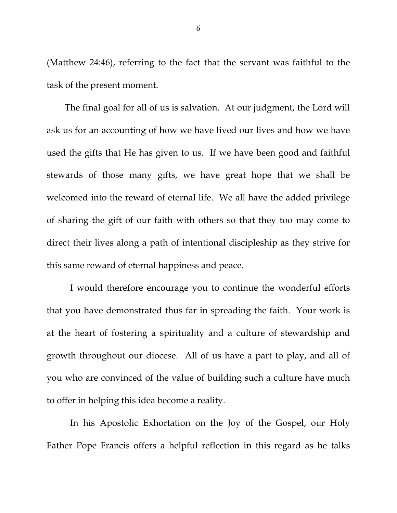(Matthew 24:46), referring to the fact that the servant was faithful to the task of the present moment.

The final goal for all of us is salvation. At our judgment, the Lord will ask us for an accounting of how we have lived our lives and how we have used the gifts that He has given to us. If we have been good and faithful stewards of those many gifts, we have great hope that we shall be welcomed into the reward of eternal life. We all have the added privilege of sharing the gift of our faith with others so that they too may come to direct their lives along a path of intentional discipleship as they strive for this same reward of eternal happiness and peace.

I would therefore encourage you to continue the wonderful efforts that you have demonstrated thus far in spreading the faith. Your work is at the heart of fostering a spirituality and a culture of stewardship and growth throughout our diocese. All of us have a part to play, and all of you who are convinced of the value of building such a culture have much to offer in helping this idea become a reality.

In his Apostolic Exhortation on the Joy of the Gospel, our Holy Father Pope Francis offers a helpful reflection in this regard as he talks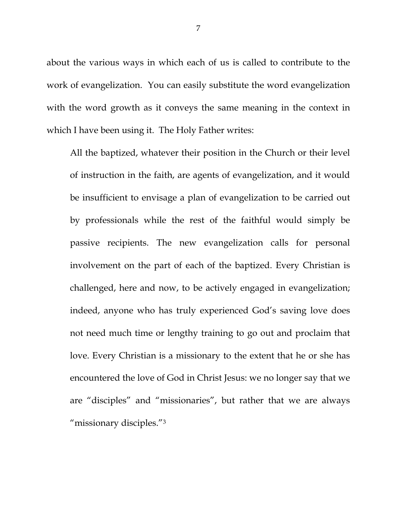about the various ways in which each of us is called to contribute to the work of evangelization. You can easily substitute the word evangelization with the word growth as it conveys the same meaning in the context in which I have been using it. The Holy Father writes:

All the baptized, whatever their position in the Church or their level of instruction in the faith, are agents of evangelization, and it would be insufficient to envisage a plan of evangelization to be carried out by professionals while the rest of the faithful would simply be passive recipients. The new evangelization calls for personal involvement on the part of each of the baptized. Every Christian is challenged, here and now, to be actively engaged in evangelization; indeed, anyone who has truly experienced God's saving love does not need much time or lengthy training to go out and proclaim that love. Every Christian is a missionary to the extent that he or she has encountered the love of God in Christ Jesus: we no longer say that we are "disciples" and "missionaries", but rather that we are always "missionary disciples."<sup>3</sup>